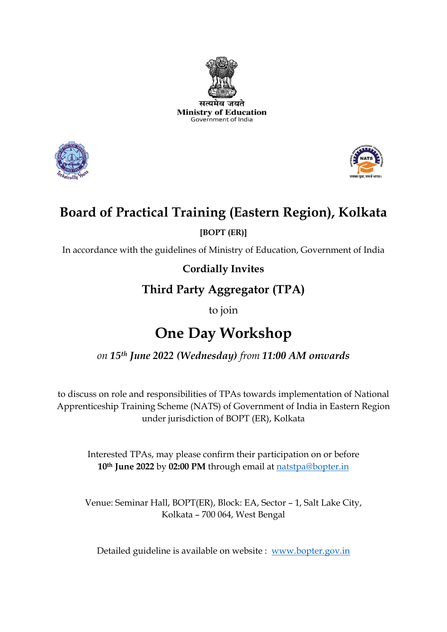





## **Board of Practical Training (Eastern Region), Kolkata**

**[BOPT (ER)]**

In accordance with the guidelines of Ministry of Education, Government of India

**Cordially Invites**

## **Third Party Aggregator (TPA)**

to join

# **One Day Workshop**

### *on 15th June 2022 (Wednesday) from 11:00 AM onwards*

to discuss on role and responsibilities of TPAs towards implementation of National Apprenticeship Training Scheme (NATS) of Government of India in Eastern Region under jurisdiction of BOPT (ER), Kolkata

Interested TPAs, may please confirm their participation on or before **10th June 2022** by **02:00 PM** through email at [natstpa@bopter.in](mailto:natstpa@bopter.in)

Venue: Seminar Hall, BOPT(ER), Block: EA, Sector – 1, Salt Lake City, Kolkata – 700 064, West Bengal

Detailed guideline is available on website : [www.bopter.gov.in](http://www.bopter.gov.in/)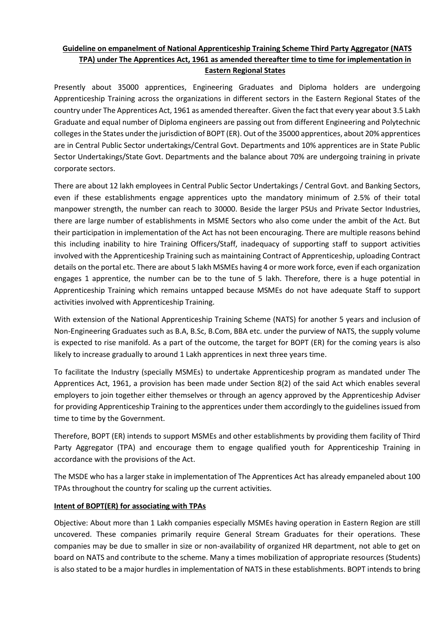#### **Guideline on empanelment of National Apprenticeship Training Scheme Third Party Aggregator (NATS TPA) under The Apprentices Act, 1961 as amended thereafter time to time for implementation in Eastern Regional States**

Presently about 35000 apprentices, Engineering Graduates and Diploma holders are undergoing Apprenticeship Training across the organizations in different sectors in the Eastern Regional States of the country under The Apprentices Act, 1961 as amended thereafter. Given the fact that every year about 3.5 Lakh Graduate and equal number of Diploma engineers are passing out from different Engineering and Polytechnic colleges in the States under the jurisdiction of BOPT (ER). Out of the 35000 apprentices, about 20% apprentices are in Central Public Sector undertakings/Central Govt. Departments and 10% apprentices are in State Public Sector Undertakings/State Govt. Departments and the balance about 70% are undergoing training in private corporate sectors.

There are about 12 lakh employees in Central Public Sector Undertakings / Central Govt. and Banking Sectors, even if these establishments engage apprentices upto the mandatory minimum of 2.5% of their total manpower strength, the number can reach to 30000. Beside the larger PSUs and Private Sector Industries, there are large number of establishments in MSME Sectors who also come under the ambit of the Act. But their participation in implementation of the Act has not been encouraging. There are multiple reasons behind this including inability to hire Training Officers/Staff, inadequacy of supporting staff to support activities involved with the Apprenticeship Training such as maintaining Contract of Apprenticeship, uploading Contract details on the portal etc. There are about 5 lakh MSMEs having 4 or more work force, even if each organization engages 1 apprentice, the number can be to the tune of 5 lakh. Therefore, there is a huge potential in Apprenticeship Training which remains untapped because MSMEs do not have adequate Staff to support activities involved with Apprenticeship Training.

With extension of the National Apprenticeship Training Scheme (NATS) for another 5 years and inclusion of Non-Engineering Graduates such as B.A, B.Sc, B.Com, BBA etc. under the purview of NATS, the supply volume is expected to rise manifold. As a part of the outcome, the target for BOPT (ER) for the coming years is also likely to increase gradually to around 1 Lakh apprentices in next three years time.

To facilitate the Industry (specially MSMEs) to undertake Apprenticeship program as mandated under The Apprentices Act, 1961, a provision has been made under Section 8(2) of the said Act which enables several employers to join together either themselves or through an agency approved by the Apprenticeship Adviser for providing Apprenticeship Training to the apprentices under them accordingly to the guidelines issued from time to time by the Government.

Therefore, BOPT (ER) intends to support MSMEs and other establishments by providing them facility of Third Party Aggregator (TPA) and encourage them to engage qualified youth for Apprenticeship Training in accordance with the provisions of the Act.

The MSDE who has a larger stake in implementation of The Apprentices Act has already empaneled about 100 TPAs throughout the country for scaling up the current activities.

#### **Intent of BOPT(ER) for associating with TPAs**

Objective: About more than 1 Lakh companies especially MSMEs having operation in Eastern Region are still uncovered. These companies primarily require General Stream Graduates for their operations. These companies may be due to smaller in size or non-availability of organized HR department, not able to get on board on NATS and contribute to the scheme. Many a times mobilization of appropriate resources (Students) is also stated to be a major hurdles in implementation of NATS in these establishments. BOPT intends to bring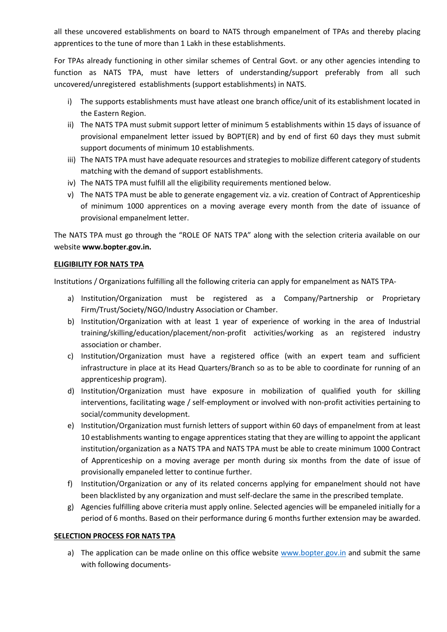all these uncovered establishments on board to NATS through empanelment of TPAs and thereby placing apprentices to the tune of more than 1 Lakh in these establishments.

For TPAs already functioning in other similar schemes of Central Govt. or any other agencies intending to function as NATS TPA, must have letters of understanding/support preferably from all such uncovered/unregistered establishments (support establishments) in NATS.

- i) The supports establishments must have atleast one branch office/unit of its establishment located in the Eastern Region.
- ii) The NATS TPA must submit support letter of minimum 5 establishments within 15 days of issuance of provisional empanelment letter issued by BOPT(ER) and by end of first 60 days they must submit support documents of minimum 10 establishments.
- iii) The NATS TPA must have adequate resources and strategies to mobilize different category of students matching with the demand of support establishments.
- iv) The NATS TPA must fulfill all the eligibility requirements mentioned below.
- v) The NATS TPA must be able to generate engagement viz. a viz. creation of Contract of Apprenticeship of minimum 1000 apprentices on a moving average every month from the date of issuance of provisional empanelment letter.

The NATS TPA must go through the "ROLE OF NATS TPA" along with the selection criteria available on our website **www.bopter.gov.in.**

#### **ELIGIBILITY FOR NATS TPA**

Institutions / Organizations fulfilling all the following criteria can apply for empanelment as NATS TPA-

- a) Institution/Organization must be registered as a Company/Partnership or Proprietary Firm/Trust/Society/NGO/Industry Association or Chamber.
- b) Institution/Organization with at least 1 year of experience of working in the area of Industrial training/skilling/education/placement/non-profit activities/working as an registered industry association or chamber.
- c) Institution/Organization must have a registered office (with an expert team and sufficient infrastructure in place at its Head Quarters/Branch so as to be able to coordinate for running of an apprenticeship program).
- d) Institution/Organization must have exposure in mobilization of qualified youth for skilling interventions, facilitating wage / self-employment or involved with non-profit activities pertaining to social/community development.
- e) Institution/Organization must furnish letters of support within 60 days of empanelment from at least 10 establishments wanting to engage apprentices stating that they are willing to appoint the applicant institution/organization as a NATS TPA and NATS TPA must be able to create minimum 1000 Contract of Apprenticeship on a moving average per month during six months from the date of issue of provisionally empaneled letter to continue further.
- f) Institution/Organization or any of its related concerns applying for empanelment should not have been blacklisted by any organization and must self-declare the same in the prescribed template.
- g) Agencies fulfilling above criteria must apply online. Selected agencies will be empaneled initially for a period of 6 months. Based on their performance during 6 months further extension may be awarded.

#### **SELECTION PROCESS FOR NATS TPA**

a) The application can be made online on this office website [www.bopter.gov.in](http://www.bopter.gov.in/) and submit the same with following documents-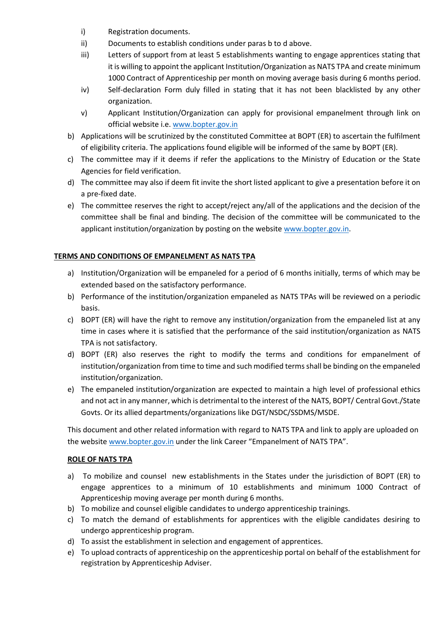- i) Registration documents.
- ii) Documents to establish conditions under paras b to d above.
- iii) Letters of support from at least 5 establishments wanting to engage apprentices stating that it is willing to appoint the applicant Institution/Organization as NATS TPA and create minimum 1000 Contract of Apprenticeship per month on moving average basis during 6 months period.
- iv) Self-declaration Form duly filled in stating that it has not been blacklisted by any other organization.
- v) Applicant Institution/Organization can apply for provisional empanelment through link on official website i.e. [www.bopter.gov.in](http://www.bopter.gov.in/)
- b) Applications will be scrutinized by the constituted Committee at BOPT (ER) to ascertain the fulfilment of eligibility criteria. The applications found eligible will be informed of the same by BOPT (ER).
- c) The committee may if it deems if refer the applications to the Ministry of Education or the State Agencies for field verification.
- d) The committee may also if deem fit invite the short listed applicant to give a presentation before it on a pre-fixed date.
- e) The committee reserves the right to accept/reject any/all of the applications and the decision of the committee shall be final and binding. The decision of the committee will be communicated to the applicant institution/organization by posting on the website [www.bopter.gov.in.](http://www.bopter.gov.in/)

#### **TERMS AND CONDITIONS OF EMPANELMENT AS NATS TPA**

- a) Institution/Organization will be empaneled for a period of 6 months initially, terms of which may be extended based on the satisfactory performance.
- b) Performance of the institution/organization empaneled as NATS TPAs will be reviewed on a periodic basis.
- c) BOPT (ER) will have the right to remove any institution/organization from the empaneled list at any time in cases where it is satisfied that the performance of the said institution/organization as NATS TPA is not satisfactory.
- d) BOPT (ER) also reserves the right to modify the terms and conditions for empanelment of institution/organization from time to time and such modified terms shall be binding on the empaneled institution/organization.
- e) The empaneled institution/organization are expected to maintain a high level of professional ethics and not act in any manner, which is detrimental to the interest of the NATS, BOPT/ Central Govt./State Govts. Or its allied departments/organizations like DGT/NSDC/SSDMS/MSDE.

This document and other related information with regard to NATS TPA and link to apply are uploaded on the website [www.bopter.gov.in](http://www.bopter.gov.in/) under the link Career "Empanelment of NATS TPA".

#### **ROLE OF NATS TPA**

- a) To mobilize and counsel new establishments in the States under the jurisdiction of BOPT (ER) to engage apprentices to a minimum of 10 establishments and minimum 1000 Contract of Apprenticeship moving average per month during 6 months.
- b) To mobilize and counsel eligible candidates to undergo apprenticeship trainings.
- c) To match the demand of establishments for apprentices with the eligible candidates desiring to undergo apprenticeship program.
- d) To assist the establishment in selection and engagement of apprentices.
- e) To upload contracts of apprenticeship on the apprenticeship portal on behalf of the establishment for registration by Apprenticeship Adviser.